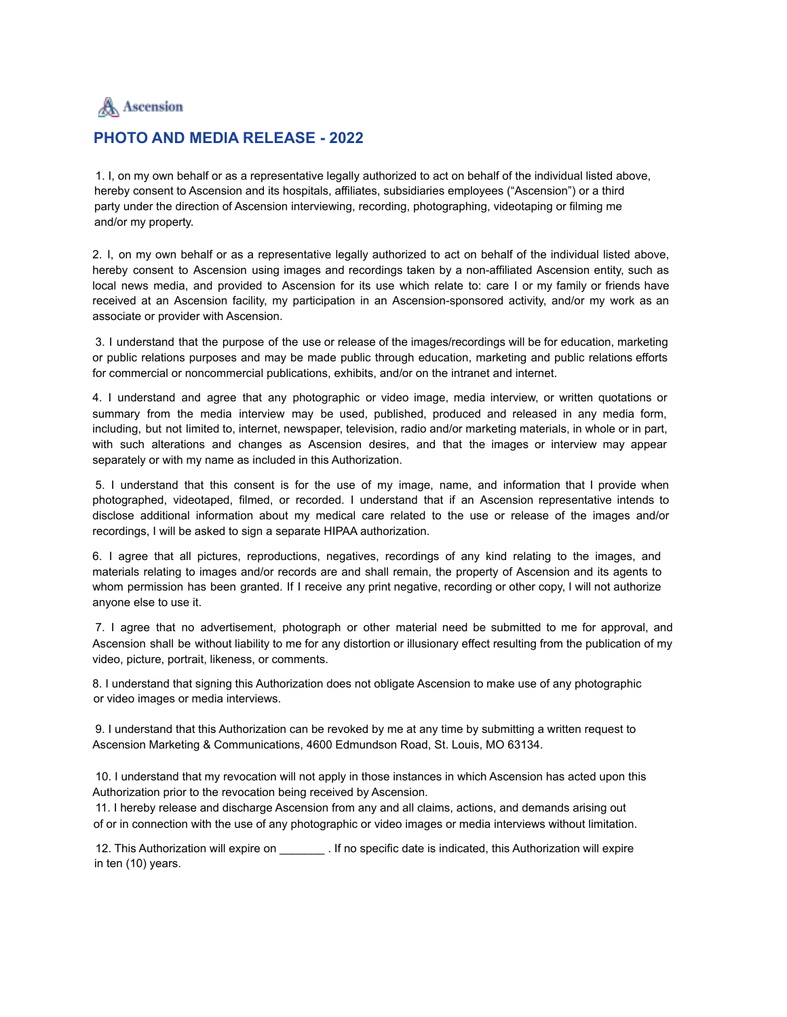

## **PHOTO AND MEDIA RELEASE - 2022**

1. I, on my own behalf or as a representative legally authorized to act on behalf of the individual listed above, hereby consent to Ascension and its hospitals, affiliates, subsidiaries employees ("Ascension") or a third party under the direction of Ascension interviewing, recording, photographing, videotaping or filming me and/or my property.

2. I, on my own behalf or as a representative legally authorized to act on behalf of the individual listed above, hereby consent to Ascension using images and recordings taken by a non-affiliated Ascension entity, such as local news media, and provided to Ascension for its use which relate to: care I or my family or friends have received at an Ascension facility, my participation in an Ascension-sponsored activity, and/or my work as an associate or provider with Ascension.

3. I understand that the purpose of the use or release of the images/recordings will be for education, marketing or public relations purposes and may be made public through education, marketing and public relations efforts for commercial or noncommercial publications, exhibits, and/or on the intranet and internet.

4. I understand and agree that any photographic or video image, media interview, or written quotations or summary from the media interview may be used, published, produced and released in any media form, including, but not limited to, internet, newspaper, television, radio and/or marketing materials, in whole or in part, with such alterations and changes as Ascension desires, and that the images or interview may appear separately or with my name as included in this Authorization.

5. I understand that this consent is for the use of my image, name, and information that I provide when photographed, videotaped, filmed, or recorded. I understand that if an Ascension representative intends to disclose additional information about my medical care related to the use or release of the images and/or recordings, I will be asked to sign a separate HIPAA authorization.

6. I agree that all pictures, reproductions, negatives, recordings of any kind relating to the images, and materials relating to images and/or records are and shall remain, the property of Ascension and its agents to whom permission has been granted. If I receive any print negative, recording or other copy, I will not authorize anyone else to use it.

7. I agree that no advertisement, photograph or other material need be submitted to me for approval, and Ascension shall be without liability to me for any distortion or illusionary effect resulting from the publication of my video, picture, portrait, likeness, or comments.

8. I understand that signing this Authorization does not obligate Ascension to make use of any photographic or video images or media interviews.

9. I understand that this Authorization can be revoked by me at any time by submitting a written request to Ascension Marketing & Communications, 4600 Edmundson Road, St. Louis, MO 63134.

10. I understand that my revocation will not apply in those instances in which Ascension has acted upon this Authorization prior to the revocation being received by Ascension.

11. I hereby release and discharge Ascension from any and all claims, actions, and demands arising out of or in connection with the use of any photographic or video images or media interviews without limitation.

12. This Authorization will expire on  $\qquad \qquad$  . If no specific date is indicated, this Authorization will expire in ten (10) years.